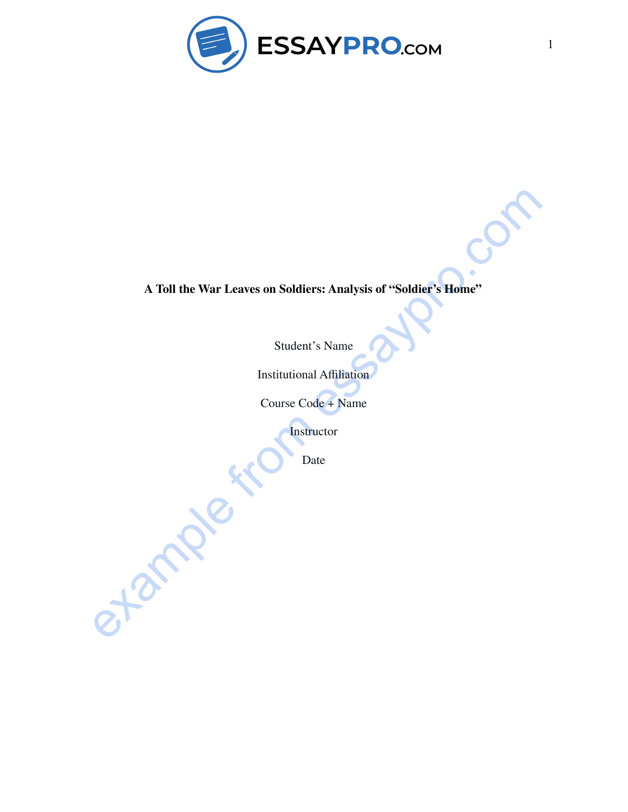

## A Toll the War Leaves on Soldiers: Analysis of "Soldiers" Home"<br>
Student's Name<br>
Institutional Affiliation<br>
Course Code + Name<br>
Course Code + Name<br>
Date<br>
Date **A Toll the War Leaves on Soldiers: Analysis of "Soldier's Home"**

Student's Name

Institutional Affiliation

Course Code + Name

**Instructor** 

Date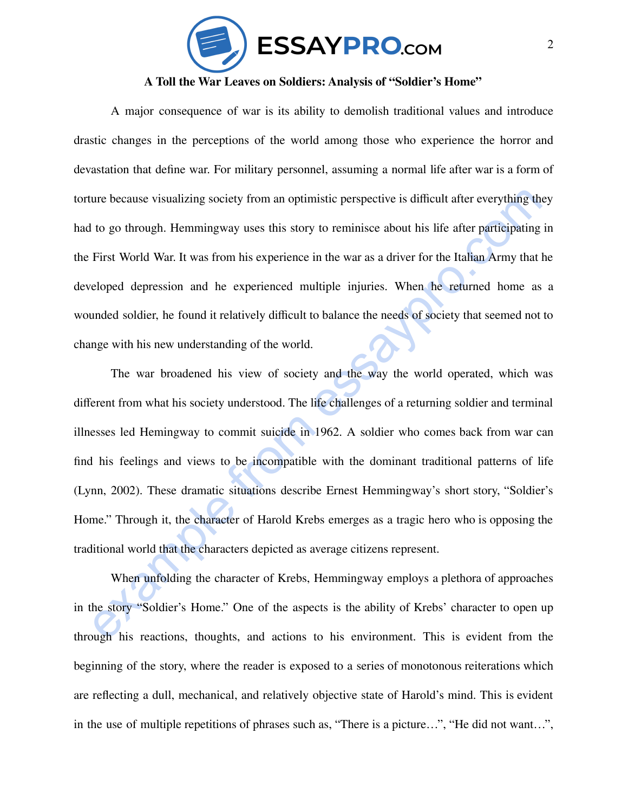

## **A Toll the War Leaves on Soldiers: Analysis of "Soldier's Home"**

A major consequence of war is its ability to demolish traditional values and introduce drastic changes in the perceptions of the world among those who experience the horror and devastation that define war. For military personnel, assuming a normal life after war is a form of torture because visualizing society from an optimistic perspective is difficult after everything they had to go through. Hemmingway uses this story to reminisce about his life after participating in the First World War. It was from his experience in the war as a driver for the Italian Army that he developed depression and he experienced multiple injuries. When he returned home as a wounded soldier, he found it relatively difficult to balance the needs of society that seemed not to change with his new understanding of the world.

ure because visualizing society from an optimistic perspective is difficult after everything they<br>
to go through. Hemmingway uses this story to reminisce about his life after participating in<br>
First World War. It was from The war broadened his view of society and the way the world operated, which was different from what his society understood. The life challenges of a returning soldier and terminal illnesses led Hemingway to commit suicide in 1962. A soldier who comes back from war can find his feelings and views to be incompatible with the dominant traditional patterns of life (Lynn, 2002). These dramatic situations describe Ernest Hemmingway's short story, "Soldier's Home." Through it, the character of Harold Krebs emerges as a tragic hero who is opposing the traditional world that the characters depicted as average citizens represent.

When unfolding the character of Krebs, Hemmingway employs a plethora of approaches in the story "Soldier's Home." One of the aspects is the ability of Krebs' character to open up through his reactions, thoughts, and actions to his environment. This is evident from the beginning of the story, where the reader is exposed to a series of monotonous reiterations which are reflecting a dull, mechanical, and relatively objective state of Harold's mind. This is evident in the use of multiple repetitions of phrases such as, "There is a picture…", "He did not want…",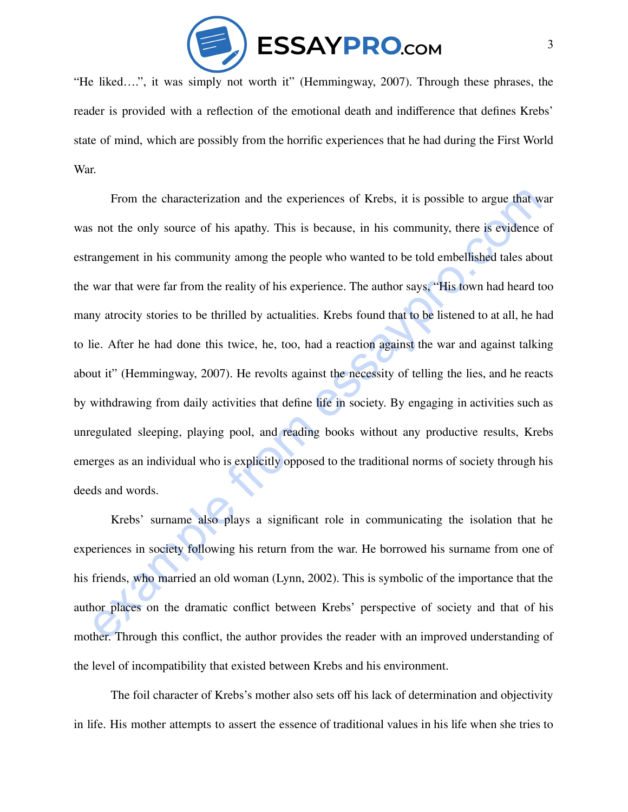

"He liked….", it was simply not worth it" (Hemmingway, 2007). Through these phrases, the reader is provided with a reflection of the emotional death and indifference that defines Krebs' state of mind, which are possibly from the horrific experiences that he had during the First World War.

From the characterization and the experiences of Krebs, it is possible to argue that war<br>s not the only source of his apathy. This is because, in his community, there is evidence of<br>angement in his community among the peop From the characterization and the experiences of Krebs, it is possible to argue that war was not the only source of his apathy. This is because, in his community, there is evidence of estrangement in his community among the people who wanted to be told embellished tales about the war that were far from the reality of his experience. The author says, "His town had heard too many atrocity stories to be thrilled by actualities. Krebs found that to be listened to at all, he had to lie. After he had done this twice, he, too, had a reaction against the war and against talking about it" (Hemmingway, 2007). He revolts against the necessity of telling the lies, and he reacts by withdrawing from daily activities that define life in society. By engaging in activities such as unregulated sleeping, playing pool, and reading books without any productive results, Krebs emerges as an individual who is explicitly opposed to the traditional norms of society through his deeds and words.

Krebs' surname also plays a significant role in communicating the isolation that he experiences in society following his return from the war. He borrowed his surname from one of his friends, who married an old woman (Lynn, 2002). This is symbolic of the importance that the author places on the dramatic conflict between Krebs' perspective of society and that of his mother. Through this conflict, the author provides the reader with an improved understanding of the level of incompatibility that existed between Krebs and his environment.

The foil character of Krebs's mother also sets off his lack of determination and objectivity in life. His mother attempts to assert the essence of traditional values in his life when she tries to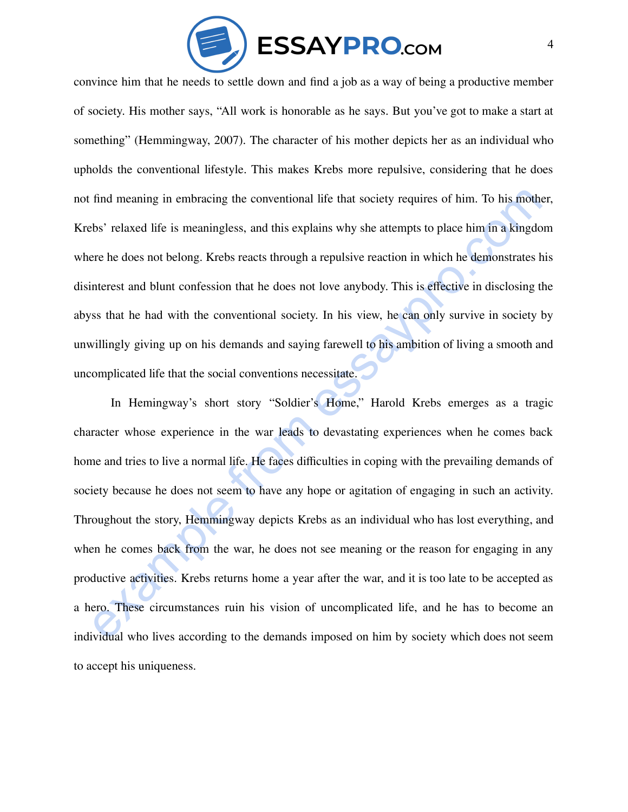

convince him that he needs to settle down and find a job as a way of being a productive member of society. His mother says, "All work is honorable as he says. But you've got to make a start at something" (Hemmingway, 2007). The character of his mother depicts her as an individual who upholds the conventional lifestyle. This makes Krebs more repulsive, considering that he does not find meaning in embracing the conventional life that society requires of him. To his mother, Krebs' relaxed life is meaningless, and this explains why she attempts to place him in a kingdom where he does not belong. Krebs reacts through a repulsive reaction in which he demonstrates his disinterest and blunt confession that he does not love anybody. This is effective in disclosing the abyss that he had with the conventional society. In his view, he can only survive in society by unwillingly giving up on his demands and saying farewell to his ambition of living a smooth and uncomplicated life that the social conventions necessitate.

find meaning in embracing the conventional life that society requires of him. To his mother,<br>thes' relaxed life is meaningless, and this explains why she attempts to place him in a kingdom<br>ere he does not belong. Krebs rea In Hemingway's short story "Soldier's Home," Harold Krebs emerges as a tragic character whose experience in the war leads to devastating experiences when he comes back home and tries to live a normal life. He faces difficulties in coping with the prevailing demands of society because he does not seem to have any hope or agitation of engaging in such an activity. Throughout the story, Hemmingway depicts Krebs as an individual who has lost everything, and when he comes back from the war, he does not see meaning or the reason for engaging in any productive activities. Krebs returns home a year after the war, and it is too late to be accepted as a hero. These circumstances ruin his vision of uncomplicated life, and he has to become an individual who lives according to the demands imposed on him by society which does not seem to accept his uniqueness.